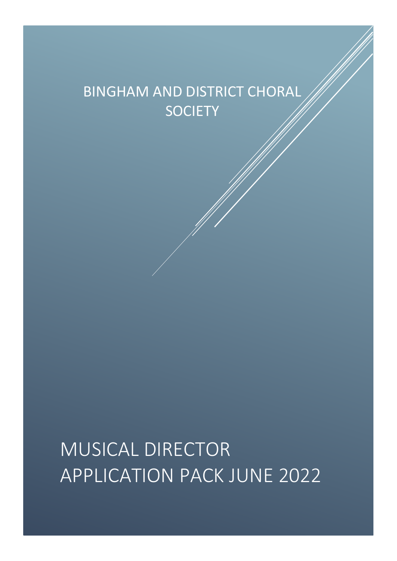## BINGHAM AND DISTRICT CHORAL **SOCIETY**

# MUSICAL DIRECTOR APPLICATION PACK JUNE 2022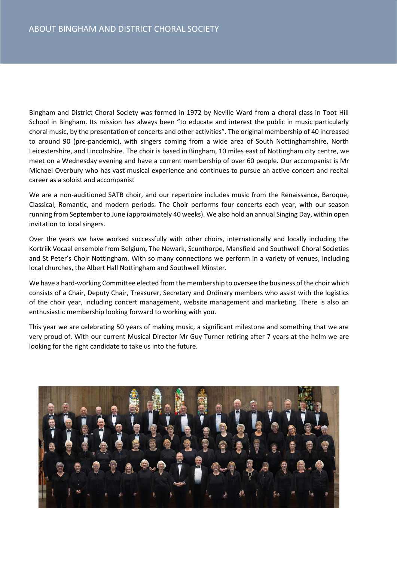Bingham and District Choral Society was formed in 1972 by Neville Ward from a choral class in Toot Hill School in Bingham. Its mission has always been "to educate and interest the public in music particularly choral music, by the presentation of concerts and other activities". The original membership of 40 increased to around 90 (pre-pandemic), with singers coming from a wide area of South Nottinghamshire, North Leicestershire, and Lincolnshire. The choir is based in Bingham, 10 miles east of Nottingham city centre, we meet on a Wednesday evening and have a current membership of over 60 people. Our accompanist is Mr Michael Overbury who has vast musical experience and continues to pursue an active concert and recital career as a soloist and accompanist

We are a non-auditioned SATB choir, and our repertoire includes music from the Renaissance, Baroque, Classical, Romantic, and modern periods. The Choir performs four concerts each year, with our season running from September to June (approximately 40 weeks). We also hold an annual Singing Day, within open invitation to local singers.

Over the years we have worked successfully with other choirs, internationally and locally including the Kortriik Vocaal ensemble from Belgium, The Newark, Scunthorpe, Mansfield and Southwell Choral Societies and St Peter's Choir Nottingham. With so many connections we perform in a variety of venues, including local churches, the Albert Hall Nottingham and Southwell Minster.

We have a hard-working Committee elected from the membership to oversee the business of the choir which consists of a Chair, Deputy Chair, Treasurer, Secretary and Ordinary members who assist with the logistics of the choir year, including concert management, website management and marketing. There is also an enthusiastic membership looking forward to working with you.

This year we are celebrating 50 years of making music, a significant milestone and something that we are very proud of. With our current Musical Director Mr Guy Turner retiring after 7 years at the helm we are looking for the right candidate to take us into the future.

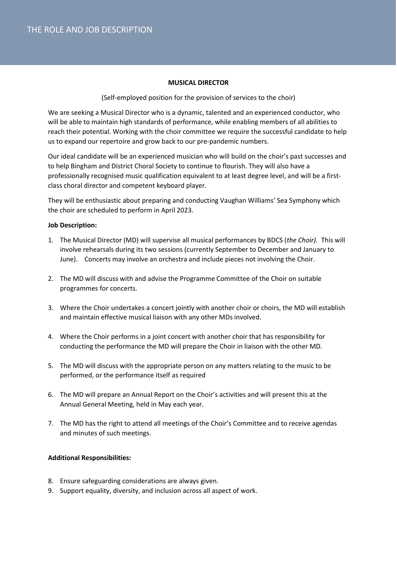#### **MUSICAL DIRECTOR**

(Self-employed position for the provision of services to the choir)

We are seeking a Musical Director who is a dynamic, talented and an experienced conductor, who will be able to maintain high standards of performance, while enabling members of all abilities to reach their potential. Working with the choir committee we require the successful candidate to help us to expand our repertoire and grow back to our pre-pandemic numbers.

Our ideal candidate will be an experienced musician who will build on the choir's past successes and to help Bingham and District Choral Society to continue to flourish. They will also have a professionally recognised music qualification equivalent to at least degree level, and will be a firstclass choral director and competent keyboard player.

They will be enthusiastic about preparing and conducting Vaughan Williams' Sea Symphony which the choir are scheduled to perform in April 2023.

### **Job Description:**

- 1. The Musical Director (MD) will supervise all musical performances by BDCS (*the Choir).* This will involve rehearsals during its two sessions (currently September to December and January to June). Concerts may involve an orchestra and include pieces not involving the Choir.
- 2. The MD will discuss with and advise the Programme Committee of the Choir on suitable programmes for concerts.
- 3. Where the Choir undertakes a concert jointly with another choir or choirs, the MD will establish and maintain effective musical liaison with any other MDs involved.
- 4. Where the Choir performs in a joint concert with another choir that has responsibility for conducting the performance the MD will prepare the Choir in liaison with the other MD.
- 5. The MD will discuss with the appropriate person on any matters relating to the music to be performed, or the performance itself as required
- 6. The MD will prepare an Annual Report on the Choir's activities and will present this at the Annual General Meeting, held in May each year.
- 7. The MD has the right to attend all meetings of the Choir's Committee and to receive agendas and minutes of such meetings.

### **Additional Responsibilities:**

- 8. Ensure safeguarding considerations are always given.
- 9. Support equality, diversity, and inclusion across all aspect of work.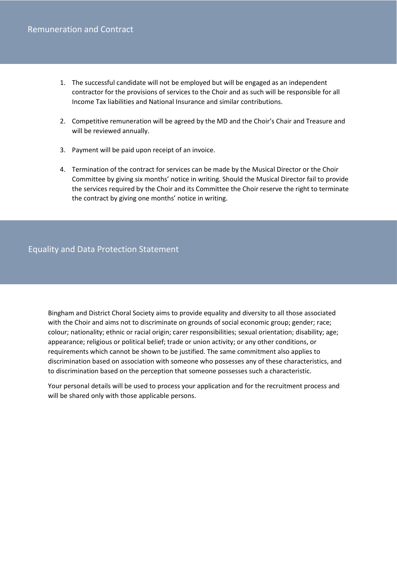- 1. The successful candidate will not be employed but will be engaged as an independent contractor for the provisions of services to the Choir and as such will be responsible for all Income Tax liabilities and National Insurance and similar contributions.
- 2. Competitive remuneration will be agreed by the MD and the Choir's Chair and Treasure and will be reviewed annually.
- 3. Payment will be paid upon receipt of an invoice.
- 4. Termination of the contract for services can be made by the Musical Director or the Choir Committee by giving six months' notice in writing. Should the Musical Director fail to provide the services required by the Choir and its Committee the Choir reserve the right to terminate the contract by giving one months' notice in writing.

Equality and Data Protection Statement

Bingham and District Choral Society aims to provide equality and diversity to all those associated with the Choir and aims not to discriminate on grounds of social economic group; gender; race; colour; nationality; ethnic or racial origin; carer responsibilities; sexual orientation; disability; age; appearance; religious or political belief; trade or union activity; or any other conditions, or requirements which cannot be shown to be justified. The same commitment also applies to discrimination based on association with someone who possesses any of these characteristics, and to discrimination based on the perception that someone possesses such a characteristic.

Your personal details will be used to process your application and for the recruitment process and will be shared only with those applicable persons.